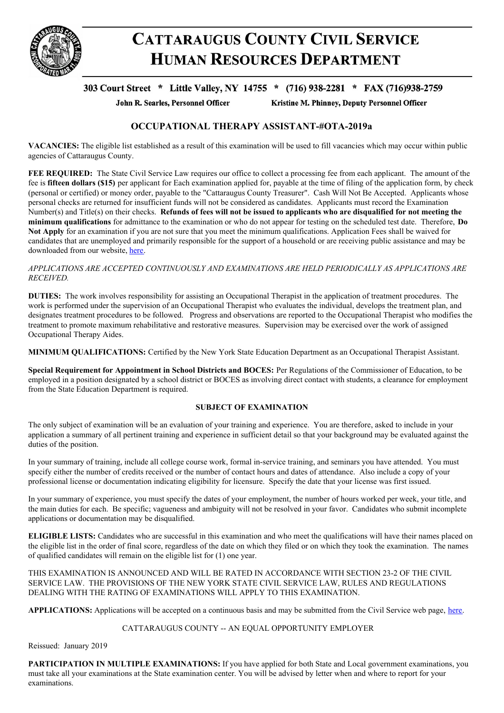

# **CATTARAUGUS COUNTY CIVIL SERVICE HUMAN RESOURCES DEPARTMENT**

# 303 Court Street \* Little Valley, NY 14755 \* (716) 938-2281 \* FAX (716)938-2759

John R. Searles, Personnel Officer

Kristine M. Phinney, Deputy Personnel Officer

# **OCCUPATIONAL THERAPY ASSISTANT-#OTA-2019a**

**VACANCIES:** The eligible list established as a result of this examination will be used to fill vacancies which may occur within public agencies of Cattaraugus County.

**FEE REQUIRED:** The State Civil Service Law requires our office to collect a processing fee from each applicant. The amount of the fee is **fifteen dollars (\$15)** per applicant for Each examination applied for, payable at the time of filing of the application form, by check (personal or certified) or money order, payable to the "Cattaraugus County Treasurer". Cash Will Not Be Accepted. Applicants whose personal checks are returned for insufficient funds will not be considered as candidates. Applicants must record the Examination Number(s) and Title(s) on their checks. Refunds of fees will not be issued to applicants who are disqualified for not meeting the **minimum qualifications** for admittance to the examination or who do not appear for testing on the scheduled test date. Therefore, **Do Not Apply** for an examination if you are not sure that you meet the minimum qualifications. Application Fees shall be waived for candidates that are unemployed and primarily responsible for the support of a household or are receiving public assistance and may be downloaded from our website, [here](https://www.cattco.org/human-resources/exam-info).

#### *APPLICATIONS ARE ACCEPTED CONTINUOUSLY AND EXAMINATIONS ARE HELD PERIODICALLY AS APPLICATIONS ARE RECEIVED.*

**DUTIES:** The work involves responsibility for assisting an Occupational Therapist in the application of treatment procedures. The work is performed under the supervision of an Occupational Therapist who evaluates the individual, develops the treatment plan, and designates treatment procedures to be followed. Progress and observations are reported to the Occupational Therapist who modifies the treatment to promote maximum rehabilitative and restorative measures. Supervision may be exercised over the work of assigned Occupational Therapy Aides.

**MINIMUM QUALIFICATIONS:** Certified by the New York State Education Department as an Occupational Therapist Assistant.

**Special Requirement for Appointment in School Districts and BOCES:** Per Regulations of the Commissioner of Education, to be employed in a position designated by a school district or BOCES as involving direct contact with students, a clearance for employment from the State Education Department is required.

## **SUBJECT OF EXAMINATION**

The only subject of examination will be an evaluation of your training and experience. You are therefore, asked to include in your application a summary of all pertinent training and experience in sufficient detail so that your background may be evaluated against the duties of the position.

In your summary of training, include all college course work, formal in-service training, and seminars you have attended. You must specify either the number of credits received or the number of contact hours and dates of attendance. Also include a copy of your professional license or documentation indicating eligibility for licensure. Specify the date that your license was first issued.

In your summary of experience, you must specify the dates of your employment, the number of hours worked per week, your title, and the main duties for each. Be specific; vagueness and ambiguity will not be resolved in your favor. Candidates who submit incomplete applications or documentation may be disqualified.

**ELIGIBLE LISTS:** Candidates who are successful in this examination and who meet the qualifications will have their names placed on the eligible list in the order of final score, regardless of the date on which they filed or on which they took the examination. The names of qualified candidates will remain on the eligible list for (1) one year.

THIS EXAMINATION IS ANNOUNCED AND WILL BE RATED IN ACCORDANCE WITH SECTION 23-2 OF THE CIVIL SERVICE LAW. THE PROVISIONS OF THE NEW YORK STATE CIVIL SERVICE LAW, RULES AND REGULATIONS DEALING WITH THE RATING OF EXAMINATIONS WILL APPLY TO THIS EXAMINATION.

**APPLICATIONS:** Applications will be accepted on a continuous basis and may be submitted from the Civil Service web page, [here](https://www.cattco.org/human-resources/exam-info#application).

## CATTARAUGUS COUNTY -- AN EQUAL OPPORTUNITY EMPLOYER

Reissued: January 2019

**PARTICIPATION IN MULTIPLE EXAMINATIONS:** If you have applied for both State and Local government examinations, you must take all your examinations at the State examination center. You will be advised by letter when and where to report for your examinations.